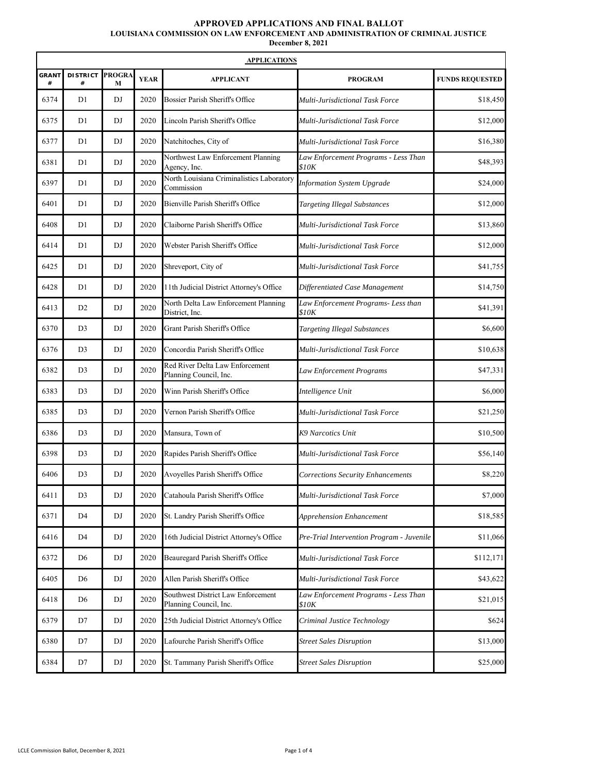## **APPROVED APPLICATIONS AND FINAL BALLOT LOUISIANA COMMISSION ON LAW ENFORCEMENT AND ADMINISTRATION OF CRIMINAL JUSTICE**

**December 8, 2021**

| <b>APPLICATIONS</b> |                      |                        |             |                                                              |                                               |                        |
|---------------------|----------------------|------------------------|-------------|--------------------------------------------------------------|-----------------------------------------------|------------------------|
| <b>GRANT</b><br>#   | <b>DISTRICT</b><br># | <b>PROGRA</b><br>M     | <b>YEAR</b> | <b>APPLICANT</b>                                             | <b>PROGRAM</b>                                | <b>FUNDS REQUESTED</b> |
| 6374                | D1                   | DJ                     | 2020        | Bossier Parish Sheriff's Office                              | Multi-Jurisdictional Task Force               | \$18,450               |
| 6375                | D <sub>1</sub>       | DJ                     | 2020        | Lincoln Parish Sheriff's Office                              | Multi-Jurisdictional Task Force               | \$12,000               |
| 6377                | D <sub>1</sub>       | DJ                     | 2020        | Natchitoches, City of                                        | Multi-Jurisdictional Task Force               | \$16,380               |
| 6381                | D <sub>1</sub>       | DJ                     | 2020        | Northwest Law Enforcement Planning<br>Agency, Inc.           | Law Enforcement Programs - Less Than<br>\$10K | \$48,393               |
| 6397                | D <sub>1</sub>       | DJ                     | 2020        | North Louisiana Criminalistics Laboratory<br>Commission      | <b>Information System Upgrade</b>             | \$24,000               |
| 6401                | D <sub>1</sub>       | DJ                     | 2020        | Bienville Parish Sheriff's Office                            | <b>Targeting Illegal Substances</b>           | \$12,000               |
| 6408                | D <sub>1</sub>       | DJ                     | 2020        | Claiborne Parish Sheriff's Office                            | Multi-Jurisdictional Task Force               | \$13,860               |
| 6414                | D <sub>1</sub>       | DJ                     | 2020        | Webster Parish Sheriff's Office                              | Multi-Jurisdictional Task Force               | \$12,000               |
| 6425                | D <sub>1</sub>       | DJ                     | 2020        | Shreveport, City of                                          | Multi-Jurisdictional Task Force               | \$41,755               |
| 6428                | D <sub>1</sub>       | DJ                     | 2020        | 11th Judicial District Attorney's Office                     | Differentiated Case Management                | \$14,750               |
| 6413                | D <sub>2</sub>       | DJ                     | 2020        | North Delta Law Enforcement Planning<br>District, Inc.       | Law Enforcement Programs- Less than<br>\$10K  | \$41,391               |
| 6370                | D <sub>3</sub>       | DJ                     | 2020        | Grant Parish Sheriff's Office                                | <b>Targeting Illegal Substances</b>           | \$6,600                |
| 6376                | D <sub>3</sub>       | DJ                     | 2020        | Concordia Parish Sheriff's Office                            | Multi-Jurisdictional Task Force               | \$10,638               |
| 6382                | D <sub>3</sub>       | DJ                     | 2020        | Red River Delta Law Enforcement<br>Planning Council, Inc.    | Law Enforcement Programs                      | \$47,331               |
| 6383                | D <sub>3</sub>       | DJ                     | 2020        | Winn Parish Sheriff's Office                                 | Intelligence Unit                             | \$6,000                |
| 6385                | D <sub>3</sub>       | DJ                     | 2020        | Vernon Parish Sheriff's Office                               | Multi-Jurisdictional Task Force               | \$21,250               |
| 6386                | D <sub>3</sub>       | DJ                     | 2020        | Mansura, Town of                                             | K9 Narcotics Unit                             | \$10,500               |
| 6398                | D <sub>3</sub>       | DJ                     | 2020        | Rapides Parish Sheriff's Office                              | Multi-Jurisdictional Task Force               | \$56,140               |
| 6406                | D <sub>3</sub>       | DJ                     | 2020        | Avoyelles Parish Sheriff's Office                            | Corrections Security Enhancements             | \$8,220                |
| 6411                | D <sub>3</sub>       | $\mathbf{D}\mathbf{J}$ | 2020        | Catahoula Parish Sheriff's Office                            | Multi-Jurisdictional Task Force               | \$7,000                |
| 6371                | D <sub>4</sub>       | DJ                     | 2020        | St. Landry Parish Sheriff's Office                           | Apprehension Enhancement                      | \$18,585               |
| 6416                | D <sub>4</sub>       | DJ                     | 2020        | 16th Judicial District Attorney's Office                     | Pre-Trial Intervention Program - Juvenile     | \$11,066               |
| 6372                | D <sub>6</sub>       | DJ                     | 2020        | Beauregard Parish Sheriff's Office                           | Multi-Jurisdictional Task Force               | \$112,171              |
| 6405                | D <sub>6</sub>       | DJ                     | 2020        | Allen Parish Sheriff's Office                                | Multi-Jurisdictional Task Force               | \$43,622               |
| 6418                | D <sub>6</sub>       | DJ                     | 2020        | Southwest District Law Enforcement<br>Planning Council, Inc. | Law Enforcement Programs - Less Than<br>\$10K | \$21,015               |
| 6379                | D7                   | DJ                     | 2020        | 25th Judicial District Attorney's Office                     | Criminal Justice Technology                   | \$624                  |
| 6380                | D7                   | DJ                     | 2020        | Lafourche Parish Sheriff's Office                            | <b>Street Sales Disruption</b>                | \$13,000               |
| 6384                | D7                   | $\mathbf{D}\mathbf{J}$ | 2020        | St. Tammany Parish Sheriff's Office                          | <b>Street Sales Disruption</b>                | \$25,000               |

 $\mathbf{r}$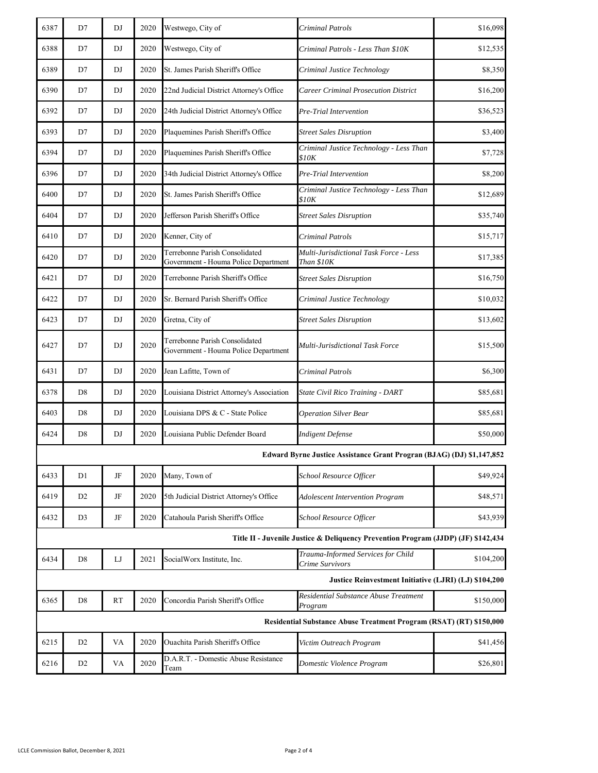| 6387                                                                              | D7             | DJ        | 2020 | Westwego, City of                                                      | Criminal Patrols                                                      | \$16,098  |
|-----------------------------------------------------------------------------------|----------------|-----------|------|------------------------------------------------------------------------|-----------------------------------------------------------------------|-----------|
| 6388                                                                              | D7             | DJ        | 2020 | Westwego, City of                                                      | Criminal Patrols - Less Than \$10K                                    | \$12,535  |
| 6389                                                                              | D7             | DJ        | 2020 | St. James Parish Sheriff's Office                                      | Criminal Justice Technology                                           | \$8,350   |
| 6390                                                                              | D7             | DJ        | 2020 | 22nd Judicial District Attorney's Office                               | <b>Career Criminal Prosecution District</b>                           | \$16,200  |
| 6392                                                                              | D7             | DJ        | 2020 | 24th Judicial District Attorney's Office                               | Pre-Trial Intervention                                                | \$36,523  |
| 6393                                                                              | D7             | DJ        | 2020 | Plaquemines Parish Sheriff's Office                                    | <b>Street Sales Disruption</b>                                        | \$3,400   |
| 6394                                                                              | D7             | DJ        | 2020 | Plaquemines Parish Sheriff's Office                                    | Criminal Justice Technology - Less Than<br>\$10K                      | \$7,728   |
| 6396                                                                              | D7             | DJ        | 2020 | 34th Judicial District Attorney's Office                               | Pre-Trial Intervention                                                | \$8,200   |
| 6400                                                                              | D7             | DJ        | 2020 | St. James Parish Sheriff's Office                                      | Criminal Justice Technology - Less Than<br>\$10K                      | \$12,689  |
| 6404                                                                              | D7             | DJ        | 2020 | Jefferson Parish Sheriff's Office                                      | <b>Street Sales Disruption</b>                                        | \$35,740  |
| 6410                                                                              | D7             | DJ        | 2020 | Kenner, City of                                                        | Criminal Patrols                                                      | \$15,717  |
| 6420                                                                              | D7             | DJ        | 2020 | Terrebonne Parish Consolidated<br>Government - Houma Police Department | Multi-Jurisdictional Task Force - Less<br>Than \$10K                  | \$17,385  |
| 6421                                                                              | D7             | DJ        | 2020 | Terrebonne Parish Sheriff's Office                                     | <b>Street Sales Disruption</b>                                        | \$16,750  |
| 6422                                                                              | D7             | DJ        | 2020 | Sr. Bernard Parish Sheriff's Office                                    | Criminal Justice Technology                                           | \$10,032  |
| 6423                                                                              | D7             | DJ        | 2020 | Gretna, City of                                                        | <b>Street Sales Disruption</b>                                        | \$13,602  |
| 6427                                                                              | D7             | DJ        | 2020 | Terrebonne Parish Consolidated<br>Government - Houma Police Department | Multi-Jurisdictional Task Force                                       | \$15,500  |
| 6431                                                                              | D7             | DJ        | 2020 | Jean Lafitte, Town of                                                  | Criminal Patrols                                                      | \$6,300   |
| 6378                                                                              | D <sub>8</sub> | DJ        | 2020 | Louisiana District Attorney's Association                              | State Civil Rico Training - DART                                      | \$85,681  |
| 6403                                                                              | D <sub>8</sub> | DJ        | 2020 | Louisiana DPS & C - State Police                                       | <b>Operation Silver Bear</b>                                          | \$85,681  |
| 6424                                                                              | D <sub>8</sub> | DJ        | 2020 | Louisiana Public Defender Board                                        | <b>Indigent Defense</b>                                               | \$50,000  |
|                                                                                   |                |           |      |                                                                        | Edward Byrne Justice Assistance Grant Progran (BJAG) (DJ) \$1,147,852 |           |
| 6433                                                                              | D1             | $\rm{JF}$ | 2020 | Many, Town of                                                          | School Resource Officer                                               | \$49,924  |
| 6419                                                                              | D <sub>2</sub> | JF        | 2020 | 5th Judicial District Attorney's Office                                | <b>Adolescent Intervention Program</b>                                | \$48,571  |
| 6432                                                                              | D <sub>3</sub> | JF        | 2020 | Catahoula Parish Sheriff's Office                                      | School Resource Officer                                               | \$43,939  |
| Title II - Juvenile Justice & Deliquency Prevention Program (JJDP) (JF) \$142,434 |                |           |      |                                                                        |                                                                       |           |
| 6434                                                                              | D <sub>8</sub> | LJ        | 2021 | SocialWorx Institute, Inc.                                             | Trauma-Informed Services for Child<br>Crime Survivors                 | \$104,200 |
| Justice Reinvestment Initiative (LJRI) (LJ) \$104,200                             |                |           |      |                                                                        |                                                                       |           |
| 6365                                                                              | D <sub>8</sub> | <b>RT</b> | 2020 | Concordia Parish Sheriff's Office                                      | Residential Substance Abuse Treatment<br>Program                      | \$150,000 |
| Residential Substance Abuse Treatment Program (RSAT) (RT) \$150,000               |                |           |      |                                                                        |                                                                       |           |
| 6215                                                                              | D <sub>2</sub> | VA        | 2020 | Ouachita Parish Sheriff's Office                                       | Victim Outreach Program                                               | \$41,456  |
| 6216                                                                              | D <sub>2</sub> | VA        | 2020 | D.A.R.T. - Domestic Abuse Resistance<br>Team                           | Domestic Violence Program                                             | \$26,801  |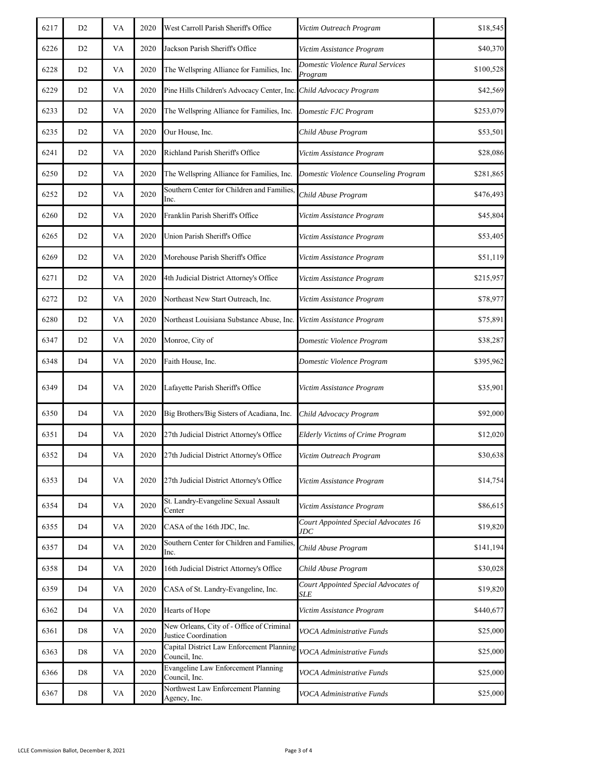| 6217 | D <sub>2</sub> | VA | 2020 | West Carroll Parish Sheriff's Office                               | Victim Outreach Program                     | \$18,545  |
|------|----------------|----|------|--------------------------------------------------------------------|---------------------------------------------|-----------|
| 6226 | D <sub>2</sub> | VA | 2020 | Jackson Parish Sheriff's Office                                    | Victim Assistance Program                   | \$40,370  |
| 6228 | D <sub>2</sub> | VA | 2020 | The Wellspring Alliance for Families, Inc.                         | Domestic Violence Rural Services<br>Program | \$100,528 |
| 6229 | D <sub>2</sub> | VA | 2020 | Pine Hills Children's Advocacy Center, Inc. Child Advocacy Program |                                             | \$42,569  |
| 6233 | D <sub>2</sub> | VA | 2020 | The Wellspring Alliance for Families, Inc.                         | Domestic FJC Program                        | \$253,079 |
| 6235 | D <sub>2</sub> | VA | 2020 | Our House, Inc.                                                    | Child Abuse Program                         | \$53,501  |
| 6241 | D <sub>2</sub> | VA | 2020 | Richland Parish Sheriff's Office                                   | Victim Assistance Program                   | \$28,086  |
| 6250 | D <sub>2</sub> | VA | 2020 | The Wellspring Alliance for Families, Inc.                         | Domestic Violence Counseling Program        | \$281,865 |
| 6252 | D <sub>2</sub> | VA | 2020 | Southern Center for Children and Families,<br>Inc.                 | Child Abuse Program                         | \$476,493 |
| 6260 | D <sub>2</sub> | VA | 2020 | Franklin Parish Sheriff's Office                                   | Victim Assistance Program                   | \$45,804  |
| 6265 | D <sub>2</sub> | VA | 2020 | Union Parish Sheriff's Office                                      | Victim Assistance Program                   | \$53,405  |
| 6269 | D <sub>2</sub> | VA | 2020 | Morehouse Parish Sheriff's Office                                  | Victim Assistance Program                   | \$51,119  |
| 6271 | D <sub>2</sub> | VA | 2020 | 4th Judicial District Attorney's Office                            | Victim Assistance Program                   | \$215,957 |
| 6272 | D <sub>2</sub> | VA | 2020 | Northeast New Start Outreach, Inc.                                 | Victim Assistance Program                   | \$78,977  |
| 6280 | D <sub>2</sub> | VA | 2020 | Northeast Louisiana Substance Abuse, Inc.                          | Victim Assistance Program                   | \$75,891  |
| 6347 | D <sub>2</sub> | VA | 2020 | Monroe, City of                                                    | Domestic Violence Program                   | \$38,287  |
| 6348 | D <sub>4</sub> | VA | 2020 | Faith House, Inc.                                                  | Domestic Violence Program                   | \$395,962 |
| 6349 | D <sub>4</sub> | VA | 2020 | Lafayette Parish Sheriff's Office                                  | Victim Assistance Program                   | \$35,901  |
| 6350 | D <sub>4</sub> | VA | 2020 | Big Brothers/Big Sisters of Acadiana, Inc.                         | Child Advocacy Program                      | \$92,000  |
| 6351 | D <sub>4</sub> | VA | 2020 | 27th Judicial District Attorney's Office                           | <b>Elderly Victims of Crime Program</b>     | \$12,020  |
| 6352 | D4             | VA | 2020 | 27th Judicial District Attorney's Office                           | Victim Outreach Program                     | \$30,638  |
| 6353 | D <sub>4</sub> | VA | 2020 | 27th Judicial District Attorney's Office                           | Victim Assistance Program                   | \$14,754  |
| 6354 | D4             | VA | 2020 | St. Landry-Evangeline Sexual Assault<br>Center                     | Victim Assistance Program                   | \$86,615  |
| 6355 | D <sub>4</sub> | VA | 2020 | CASA of the 16th JDC, Inc.                                         | Court Appointed Special Advocates 16<br>JDC | \$19,820  |
| 6357 | D4             | VA | 2020 | Southern Center for Children and Families,<br>Inc.                 | Child Abuse Program                         | \$141,194 |
| 6358 | D <sub>4</sub> | VA | 2020 | 16th Judicial District Attorney's Office                           | Child Abuse Program                         | \$30,028  |
| 6359 | D4             | VA | 2020 | CASA of St. Landry-Evangeline, Inc.                                | Court Appointed Special Advocates of<br>SLE | \$19,820  |
| 6362 | D4             | VA | 2020 | Hearts of Hope                                                     | Victim Assistance Program                   | \$440,677 |
| 6361 | D8             | VA | 2020 | New Orleans, City of - Office of Criminal<br>Justice Coordination  | VOCA Administrative Funds                   | \$25,000  |
| 6363 | D8             | VA | 2020 | Capital District Law Enforcement Planning<br>Council, Inc.         | VOCA Administrative Funds                   | \$25,000  |
| 6366 | D <sub>8</sub> | VA | 2020 | <b>Evangeline Law Enforcement Planning</b><br>Council, Inc.        | VOCA Administrative Funds                   | \$25,000  |
| 6367 | D <sub>8</sub> | VA | 2020 | Northwest Law Enforcement Planning<br>Agency, Inc.                 | VOCA Administrative Funds                   | \$25,000  |